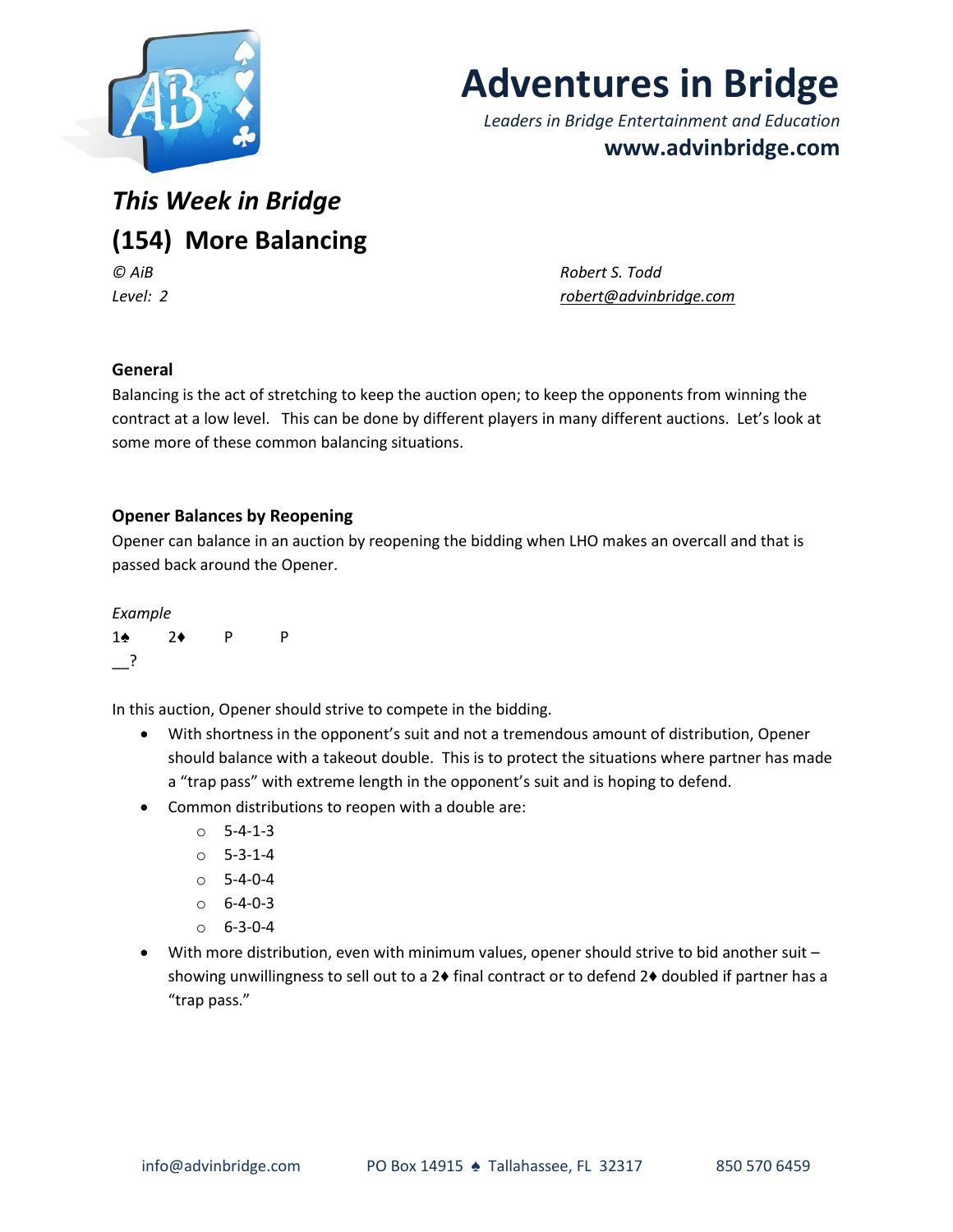

# **Adventures in Bridge**

*Leaders in Bridge Entertainment and Education* **www.advinbridge.com**

*This Week in Bridge* **(154) More Balancing** *© AiB Robert S. Todd*

*Level: 2 [robert@advinbridge.com](mailto:robert@advinbridge.com)*

# **General**

Balancing is the act of stretching to keep the auction open; to keep the opponents from winning the contract at a low level. This can be done by different players in many different auctions. Let's look at some more of these common balancing situations.

### **Opener Balances by Reopening**

Opener can balance in an auction by reopening the bidding when LHO makes an overcall and that is passed back around the Opener.

#### *Example*

| $1\spadesuit$ | $2*$ | - P | P |
|---------------|------|-----|---|
| $\cdot$ ?     |      |     |   |

In this auction, Opener should strive to compete in the bidding.

- With shortness in the opponent's suit and not a tremendous amount of distribution, Opener should balance with a takeout double. This is to protect the situations where partner has made a "trap pass" with extreme length in the opponent's suit and is hoping to defend.
- Common distributions to reopen with a double are:
	- o 5-4-1-3
	- $0 5 3 1 4$
	- $O = 5 4 0 4$
	- $0 6 4 0 3$
	- $0.6 3 0 4$
- With more distribution, even with minimum values, opener should strive to bid another suit showing unwillingness to sell out to a 2♦ final contract or to defend 2♦ doubled if partner has a "trap pass."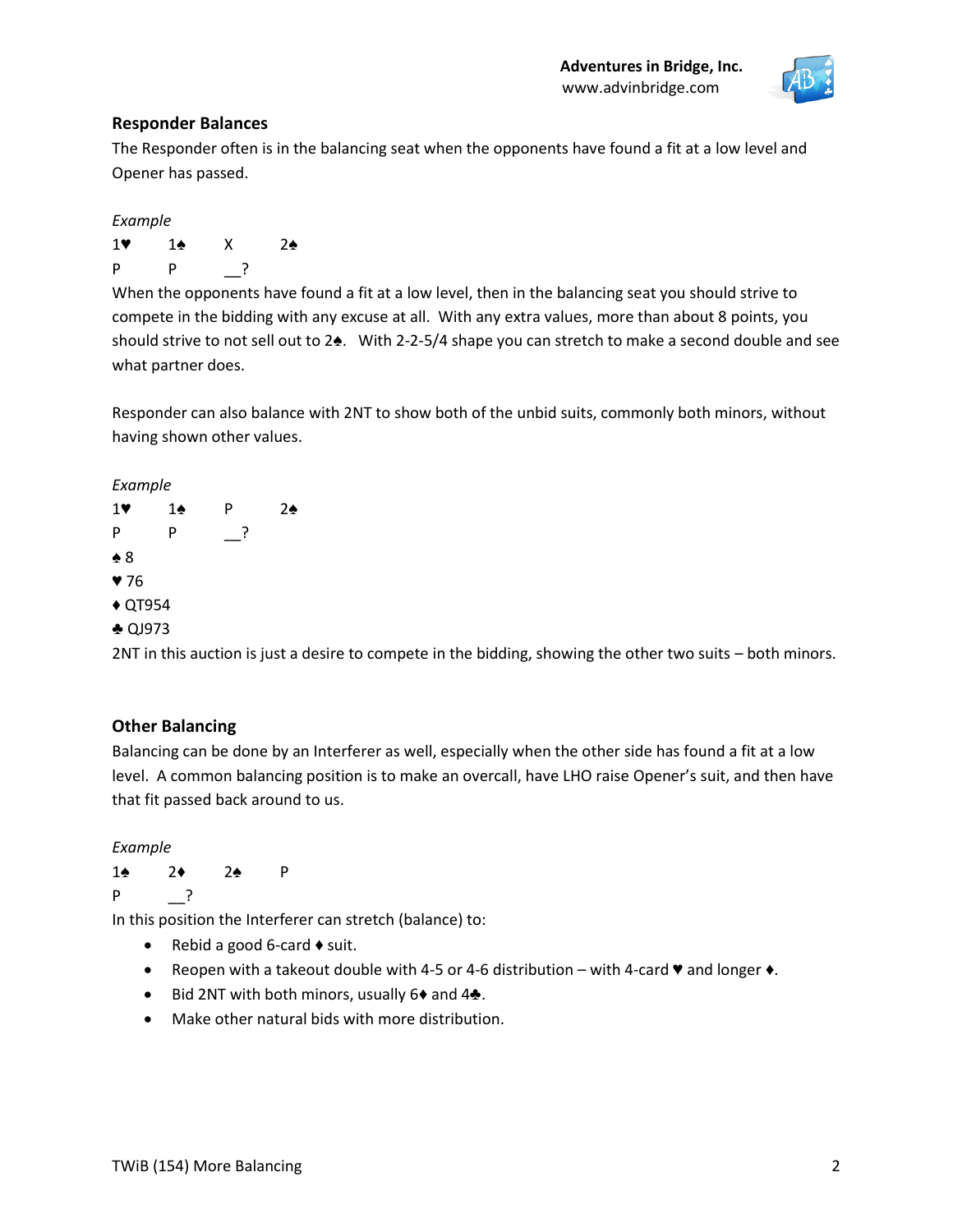

# **Responder Balances**

The Responder often is in the balancing seat when the opponents have found a fit at a low level and Opener has passed.

*Example*

1♥ 1♠ X 2♠ P P \_\_?

When the opponents have found a fit at a low level, then in the balancing seat you should strive to compete in the bidding with any excuse at all. With any extra values, more than about 8 points, you should strive to not sell out to 2♠. With 2-2-5/4 shape you can stretch to make a second double and see what partner does.

Responder can also balance with 2NT to show both of the unbid suits, commonly both minors, without having shown other values.

*Example*



2NT in this auction is just a desire to compete in the bidding, showing the other two suits – both minors.

# **Other Balancing**

Balancing can be done by an Interferer as well, especially when the other side has found a fit at a low level. A common balancing position is to make an overcall, have LHO raise Opener's suit, and then have that fit passed back around to us.

*Example*

1♠ 2♦ 2♠ P P \_\_?

In this position the Interferer can stretch (balance) to:

- Rebid a good 6-card  $\triangle$  suit.
- **•** Reopen with a takeout double with 4-5 or 4-6 distribution with 4-card  $\blacktriangledown$  and longer  $\blacklozenge$ .
- Bid 2NT with both minors, usually 6♦ and 4♣.
- Make other natural bids with more distribution.